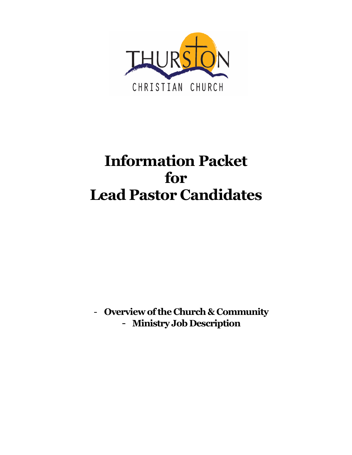

# **Information Packet for Lead Pastor Candidates**

- **Overview ofthe Church&Community** - **Ministry Job Description**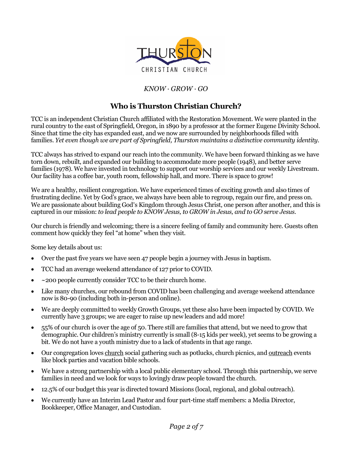

### *KNOW · GROW · GO*

# **Who is Thurston Christian Church?**

TCC is an independent Christian Church affiliated with the Restoration Movement. We were planted in the rural country to the east of Springfield, Oregon, in 1890 by a professor at the former Eugene Divinity School. Since that time the city has expanded east, and we now are surrounded by neighborhoods filled with families. *Yet even though we are part of Springfield, Thurston maintains a distinctive community identity.*

TCC always has strived to expand our reach into the community. We have been forward thinking as we have torn down, rebuilt, and expanded our building to accommodate more people (1948), and better serve families (1978). We have invested in technology to support our worship services and our weekly Livestream. Our facility has a coffee bar, youth room, fellowship hall, and more. There is space to grow!

We are a healthy, resilient congregation. We have experienced times of exciting growth and also times of frustrating decline. Yet by God's grace, we always have been able to regroup, regain our fire, and press on. We are passionate about building God's Kingdom through Jesus Christ, one person after another, and this is captured in our mission: *to lead people to KNOW Jesus, to GROW in Jesus, and to GO serve Jesus*.

Our church is friendly and welcoming; there is a sincere feeling of family and community here. Guests often comment how quickly they feel "at home" when they visit.

Some key details about us:

- Over the past five years we have seen 47 people begin a journey with Jesus in baptism.
- TCC had an average weekend attendance of 127 prior to COVID.
- $\sim$  200 people currently consider TCC to be their church home.
- Like many churches, our rebound from COVID has been challenging and average weekend attendance now is 80-90 (including both in-person and online).
- We are deeply committed to weekly Growth Groups, yet these also have been impacted by COVID. We currently have 3 groups; we are eager to raise up new leaders and add more!
- 55% of our church is over the age of 50. There still are families that attend, but we need to grow that demographic. Our children's ministry currently is small (8-15 kids per week), yet seems to be growing a bit. We do not have a youth ministry due to a lack of students in that age range.
- Our congregation loves church social gathering such as potlucks, church picnics, and outreach events like block parties and vacation bible schools.
- We have a strong partnership with a local public elementary school. Through this partnership, we serve families in need and we look for ways to lovingly draw people toward the church.
- 12.5% of our budget this year is directed toward Missions (local, regional, and global outreach).
- We currently have an Interim Lead Pastor and four part-time staff members: a Media Director, Bookkeeper, Office Manager, and Custodian.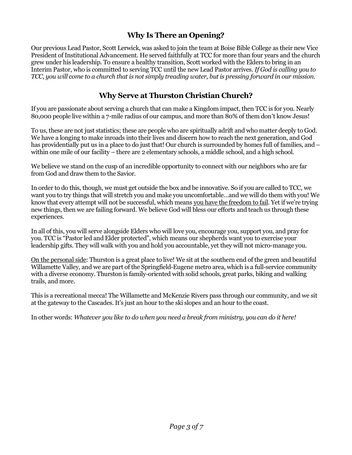# **Why Is There an Opening?**

Our previous Lead Pastor, Scott Lerwick, was asked to join the team at Boise Bible College as their new Vice President of Institutional Advancement. He served faithfully at TCC for more than four years and the church grew under his leadership. To ensure a healthy transition, Scott worked with the Elders to bring in an Interim Pastor, who is committed to serving TCC until the new Lead Pastor arrives. *If God is calling you to* TCC, you will come to a church that is not simply treading water, but is pressing forward in our mission.

# **Why Serve at Thurston Christian Church?**

If you are passionate about serving a church that can make a Kingdom impact, then TCC is for you. Nearly 80,000 people live within a 7-mile radius of our campus, and more than 80% of them don't know Jesus!

To us, these are not just statistics; these are people who are spiritually adrift and who matter deeply to God. We have a longing to make inroads into their lives and discern how to reach the next generation, and God has providentially put us in a place to do just that! Our church is surrounded by homes full of families, and – within one mile of our facility – there are 2 elementary schools, a middle school, and a high school.

We believe we stand on the cusp of an incredible opportunity to connect with our neighbors who are far from God and draw them to the Savior.

In order to do this, though, we must get outside the box and be innovative. So if you are called to TCC, we want you to try things that will stretch you and make you uncomfortable…and we will do them with you! We know that every attempt will not be successful, which means you have the freedom to fail. Yet if we're trying new things, then we are failing forward. We believe God will bless our efforts and teach us through these experiences.

In all of this, you will serve alongside Elders who will love you, encourage you, support you, and pray for you. TCC is "Pastor led and Elder protected", which means our shepherds want you to exercise your leadership gifts. They will walk with you and hold you accountable, yet they will not micro-manage you.

On the personal side: Thurston is a great place to live! We sit at the southern end of the green and beautiful Willamette Valley, and we are part of the Springfield-Eugene metro area, which is a full-service community with a diverse economy. Thurston is family-oriented with solid schools, great parks, biking and walking trails, and more.

This is a recreational mecca! The Willamette and McKenzie Rivers pass through our community, and we sit at the gateway to the Cascades.It's just an hour to the ski slopes and an hour to the coast.

In other words: *Whatever you like to do when you need a break from ministry, you can do it here!*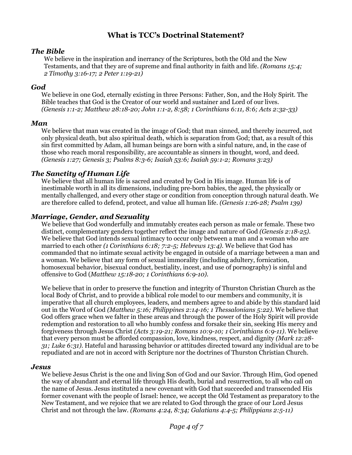# **What is TCC's Doctrinal Statement?**

#### *The Bible*

We believe in the inspiration and inerrancy of the Scriptures, both the Old and the New Testaments, and that they are of supreme and final authority in faith and life. *(Romans 15:4; 2 Timothy 3:16-17; 2 Peter 1:19-21)*

#### *God*

We believe in one God, eternally existing in three Persons: Father, Son, and the Holy Spirit. The Bible teaches that God is the Creator of our world and sustainer and Lord of our lives. *(Genesis 1:1-2; Matthew 28:18-20; John 1:1-2, 8:58; 1 Corinthians 6:11, 8:6; Acts 2:32-33)*

#### *Man*

We believe that man was created in the image of God; that man sinned, and thereby incurred, not only physical death, but also spiritual death, which is separation from God; that, as a result of this sin first committed by Adam, all human beings are born with a sinful nature, and, in the case of those who reach moral responsibility, are accountable as sinners in thought, word, and deed. *(Genesis 1:27; Genesis 3; Psalms 8:3-6; Isaiah 53:6; Isaiah 59:1-2; Romans 3:23)*

#### *The Sanctity of Human Life*

We believe that all human life is sacred and created by God in His image. Human life is of inestimable worth in all its dimensions, including pre-born babies, the aged, the physically or mentally challenged, and every other stage or condition from conception through natural death. We are therefore called to defend, protect, and value all human life. *(Genesis 1:26-28; Psalm 139)*

#### *Marriage, Gender, and Sexuality*

We believe that God wonderfully and immutably creates each person as male or female. These two distinct, complementary genders together reflect the image and nature of God *(Genesis 2:18-25)*. We believe that God intends sexual intimacy to occur only between a man and a woman who are married to each other *(1 Corinthians 6:18; 7:2-5; Hebrews 13:4)*. We believe that God has commanded that no intimate sexual activity be engaged in outside of a marriage between a man and a woman. We believe that any form of sexual immorality (including adultery, fornication, homosexual behavior, bisexual conduct, bestiality, incest, and use of pornography) is sinful and offensive to God (*Matthew 15:18-20; 1 Corinthians 6:9-10).*

We believe that in order to preserve the function and integrity of Thurston Christian Church as the local Body of Christ, and to provide a biblical role model to our members and community, it is imperative that all church employees, leaders, and members agree to and abide by this standard laid out in the Word of God *(Matthew 5:16; Philippines 2:14-16; 1 Thessalonians 5:22)*. We believe that God offers grace when we falter in these areas and through the power of the Holy Spirit will provide redemption and restoration to all who humbly confess and forsake their sin, seeking His mercy and forgiveness through Jesus Christ *(Acts 3:19-21; Romans 10:9-10; 1 Corinthians 6:9-11)*. We believe that every person must be afforded compassion, love, kindness, respect, and dignity *(Mark 12:28- 31; Luke 6:31).* Hateful and harassing behavior or attitudes directed toward any individual are to be repudiated and are not in accord with Scripture nor the doctrines of Thurston Christian Church.

#### *Jesus*

We believe Jesus Christ is the one and living Son of God and our Savior. Through Him, God opened the way of abundant and eternal life through His death, burial and resurrection, to all who call on the name of Jesus. Jesus instituted a new covenant with God that succeeded and transcended His former covenant with the people of Israel: hence, we accept the Old Testament as preparatory to the New Testament, and we rejoice that we are related to God through the grace of our Lord Jesus Christ and not through the law. *(Romans 4:24, 8:34; Galatians 4:4-5; Philippians 2:5-11)*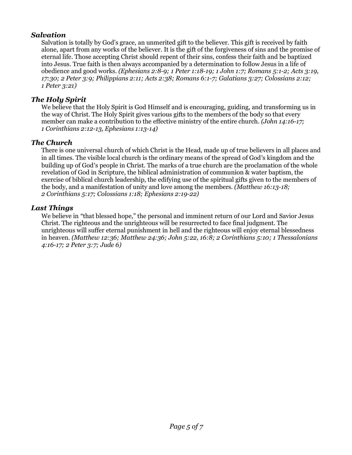#### *Salvation*

Salvation is totally by God's grace, an unmerited gift to the believer. This gift is received by faith alone, apart from any works of the believer. It is the gift of the forgiveness of sins and the promise of eternal life. Those accepting Christ should repent of their sins, confess their faith and be baptized into Jesus. True faith is then always accompanied by a determination to follow Jesus in a life of obedience and good works. *(Ephesians 2:8-9; 1 Peter 1:18-19; 1 John 1:7; Romans 5:1-2; Acts 3:19, 17:30; 2 Peter 3:9; Philippians 2:11; Acts 2:38; Romans 6:1-7; Galatians 3:27; Colossians 2:12; 1 Peter 3:21)*

#### *The Holy Spirit*

We believe that the Holy Spirit is God Himself and is encouraging, guiding, and transforming us in the way of Christ. The Holy Spirit gives various gifts to the members of the body so that every member can make a contribution to the effective ministry of the entire church. *(John 14:16-17; 1 Corinthians 2:12-13, Ephesians 1:13-14)*

#### *The Church*

There is one universal church of which Christ is the Head, made up of true believers in all places and in all times. The visible local church is the ordinary means of the spread of God's kingdom and the building up of God's people in Christ. The marks of a true church are the proclamation of the whole revelation of God in Scripture, the biblical administration of communion & water baptism, the exercise of biblical church leadership, the edifying use of the spiritual gifts given to the members of the body, and a manifestation of unity and love among the members. *(Matthew 16:13-18; 2 Corinthians 5:17; Colossians 1:18; Ephesians 2:19-22)*

#### *Last Things*

We believe in "that blessed hope," the personal and imminent return of our Lord and Savior Jesus Christ. The righteous and the unrighteous will be resurrected to face final judgment. The unrighteous will suffer eternal punishment in hell and the righteous will enjoy eternal blessedness in heaven. *(Matthew 12:36; Matthew 24:36; John 5:22, 16:8; 2 Corinthians 5:10; 1 Thessalonians 4:16-17; 2 Peter 3:7; Jude 6)*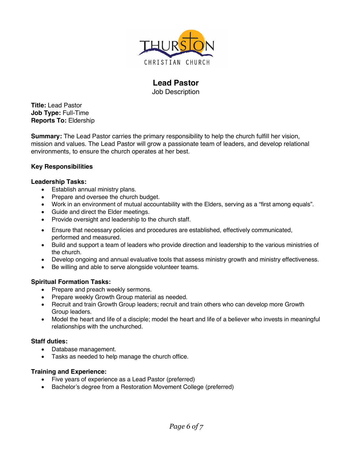

# **Lead Pastor**

Job Description

**Title:** Lead Pastor **Job Type:** Full-Time **Reports To:** Eldership

**Summary:** The Lead Pastor carries the primary responsibility to help the church fulfill her vision, mission and values. The Lead Pastor will grow a passionate team of leaders, and develop relational environments, to ensure the church operates at her best.

#### **Key Responsibilities**

#### **Leadership Tasks:**

- Establish annual ministry plans.
- Prepare and oversee the church budget.
- Work in an environment of mutual accountability with the Elders, serving as a "first among equals".
- Guide and direct the Elder meetings.
- Provide oversight and leadership to the church staff.
- Ensure that necessary policies and procedures are established, effectively communicated, performed and measured.
- Build and support a team of leaders who provide direction and leadership to the various ministries of the church.
- Develop ongoing and annual evaluative tools that assess ministry growth and ministry effectiveness.
- Be willing and able to serve alongside volunteer teams.

#### **Spiritual Formation Tasks:**

- Prepare and preach weekly sermons.
- Prepare weekly Growth Group material as needed.
- Recruit and train Growth Group leaders; recruit and train others who can develop more Growth Group leaders.
- Model the heart and life of a disciple; model the heart and life of a believer who invests in meaningful relationships with the unchurched.

#### **Staff duties:**

- Database management.
- Tasks as needed to help manage the church office.

#### **Training and Experience:**

- Five years of experience as a Lead Pastor (preferred)
- Bachelor's degree from a Restoration Movement College (preferred)